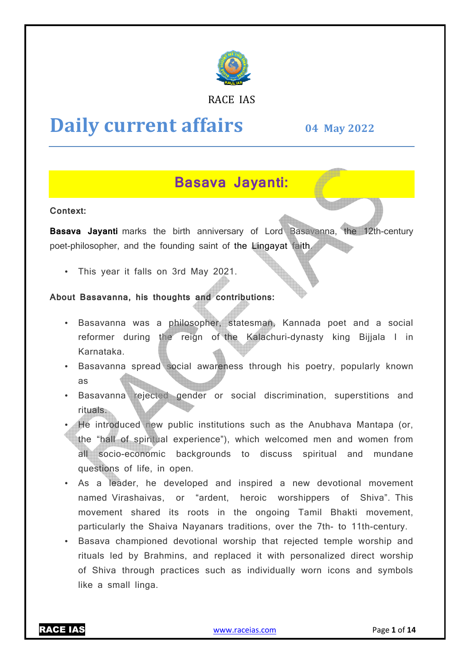

#### RACE IAS

# **Daily current affairs**

**04 May May 2022**

## **Basava Jayanti:**

**Context:** 

**Basava Jayanti** marks the birth anniversary of Lord Basavanna, the 12th 12th-century poet-philosopher, and the founding saint of the Lingayat faith.

• This year it falls on 3rd May 2021.

#### **About Basavanna, his thoughts and contribut contributions:**

- Basavanna was a philosopher, statesman, Kannada poet and a social reformer during the reign of the Kalachuri-dynasty king Bijjala I in Karnataka.
- Basavanna spread social awareness through his poetry, popularly known as
- Basavanna rejected gender or social discrimination, superstitions and rituals. Kalachuri-dynasty king Bijjala I in<br>is through his poetry, popularly known<br>cial discrimination, superstitions and<br>is such as the Anubhava Mantapa (or,
- He introduced new public institutions such as the Anubhava Mantapa the "hall of spiritual experience"), which welcomed men and women from all socio-economic backgrounds to discuss spiritual and mundane questions of life, in open.
- As a leader, he developed and inspired a new devotional movement named Virashaivas, or "ardent, heroic worshippers of Shiva". Shiva". This movement shared its roots in the ongoing Tamil Bhakti movement, all socio-economic backgrounds to discuss spiritual and mundane<br>questions of life, in open.<br>As a leader, he developed and inspired a new devotional movement<br>named Virashaivas, or "ardent, heroic worshippers of Shiva". This
- Basava championed devotional worship that rejected temple worship and rituals led by Brahmins, and replaced it with personalized direct worship of Shiva through practices such as individually worn icons and symbols like a small linga.

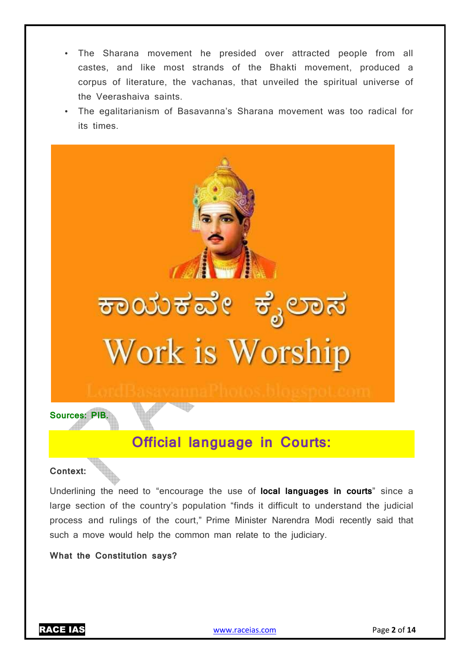- The Sharana movement he presided over attracted people from all castes, and like most strands of the Bhakti movement, produced a corpus of literature, the vachanas, that unveiled the spiritual universe of the Veerashaiva saints.
- The egalitarianism of Basavanna's Sharana movement was too radical for its times.



#### **Context:**

Underlining the need to "encourage the use of **local languages in courts**" since a large section of the country's population "finds it difficult to understand the judicial process and rulings of the court," Prime Minister Narendra Modi recently said that such a move would help the common man relate to the judiciary.

**What the Constitution says?**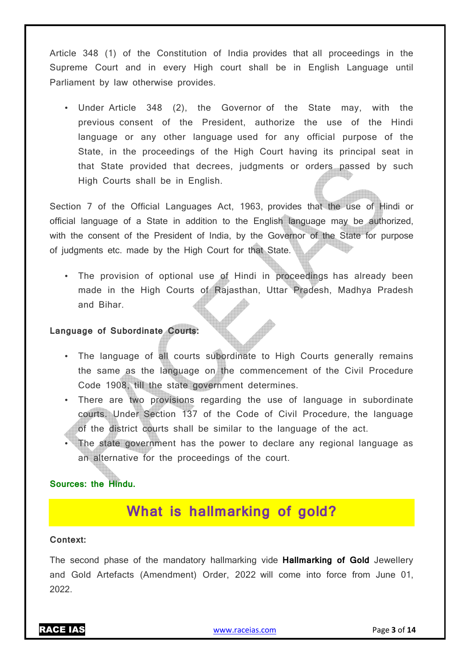Article 348 (1) of the Constitution of India provides that all proceedings in the Supreme Court and in every High court shall be in English Language until Parliament by law otherwise provides.

• Under Article 348 (2), the Governor of the State may, with the previous consent of the President, authorize the use of the Hindi language or any other language used for any official purpose of the State, in the proceedings of the High Court having its principal seat in that State provided that decrees, judgments or orders passed by such High Courts shall be in English.

Section 7 of the Official Languages Act, 1963, provides that the use of Hindi or official language of a State in addition to the English language may be authorized, with the consent of the President of India, by the Governor of the State for purpose of judgments etc. made by the High Court for that State.

• The provision of optional use of Hindi in proceedings has already been made in the High Courts of Rajasthan, Uttar Pradesh, Madhya Pradesh and Bihar.

#### **Language of Subordinate Courts:**

- The language of all courts subordinate to High Courts generally remains the same as the language on the commencement of the Civil Procedure Code 1908, till the state government determines.
- There are two provisions regarding the use of language in subordinate courts. Under Section 137 of the Code of Civil Procedure, the language of the district courts shall be similar to the language of the act.
- The state government has the power to declare any regional language as an alternative for the proceedings of the court.

### **Sources: the Hindu.**

### **What is hallmarking of gold?**

#### **Context:**

The second phase of the mandatory hallmarking vide **Hallmarking of Gold** Jewellery and Gold Artefacts (Amendment) Order, 2022 will come into force from June 01, 2022.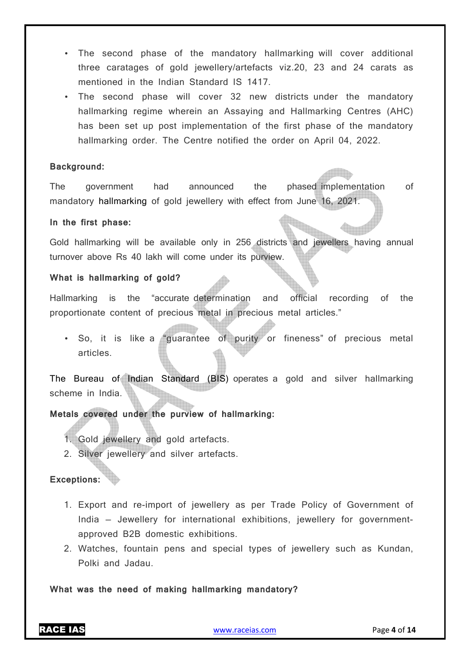- The second phase of the mandatory hallmarking will cover additional three caratages of gold jewellery/artefacts viz.20, 23 and 24 carats as mentioned in the Indian Standard IS 1417.
- The second phase will cover 32 new districts under the mandatory hallmarking regime wherein an Assaying and Hallmarking Centres (AHC) has been set up post implementation of the first phase of the mandatory hallmarking order. The Centre notified the order on April 04, 2022.

#### **Background:**

The government had announced the phased implementation of mandatory hallmarking of gold jewellery with effect from June 16, 2021.

#### **In the first phase:**

Gold hallmarking will be available only in 256 districts and jewellers having annual turnover above Rs 40 lakh will come under its purview.

#### **What is hallmarking of gold?**

Hallmarking is the "accurate determination and official recording of the proportionate content of precious metal in precious metal articles."

• So, it is like a "guarantee of purity or fineness" of precious metal articles.

The Bureau of Indian Standard (BIS) operates a gold and silver hallmarking scheme in India.

### **Metals covered under the purview of hallmarking:**

1. Gold jewellery and gold artefacts.

2. Silver jewellery and silver artefacts.

### **Exceptions:**

- 1. Export and re-import of jewellery as per Trade Policy of Government of India — Jewellery for international exhibitions, jewellery for governmentapproved B2B domestic exhibitions.
- 2. Watches, fountain pens and special types of jewellery such as Kundan, Polki and Jadau.

#### **What was the need of making hallmarking mandatory?**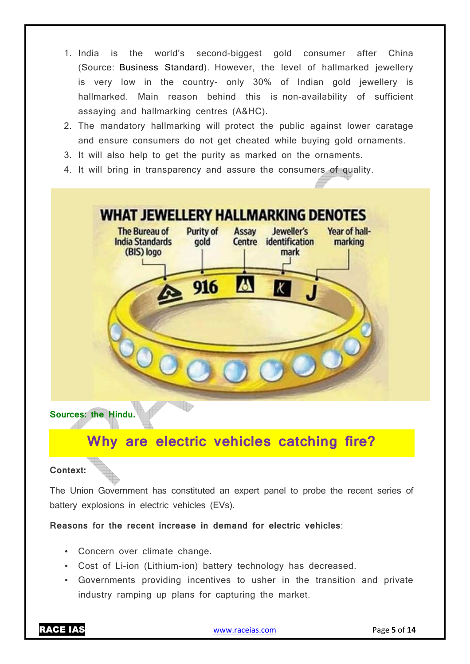- 1. India is the world's second-biggest gold consumer after China (Source: Business Standard). However, the level of hallmarked jewellery is very low in the country- only 30% of Indian gold jewellery is hallmarked. Main reason behind this is non-availability of sufficient assaying and hallmarking centres (A&HC).
- 2. The mandatory hallmarking will protect the public against lower caratage and ensure consumers do not get cheated while buying gold ornaments.
- 3. It will also help to get the purity as marked on the ornaments.
- 4. It will bring in transparency and assure the consumers of quality.



### **Why are electric vehicles catching fire?**

### **Context:**

The Union Government has constituted an expert panel to probe the recent series of battery explosions in electric vehicles (EVs).

**Reasons for the recent increase in demand for electric vehicles**:

- Concern over climate change.
- Cost of Li-ion (Lithium-ion) battery technology has decreased.
- Governments providing incentives to usher in the transition and private industry ramping up plans for capturing the market.

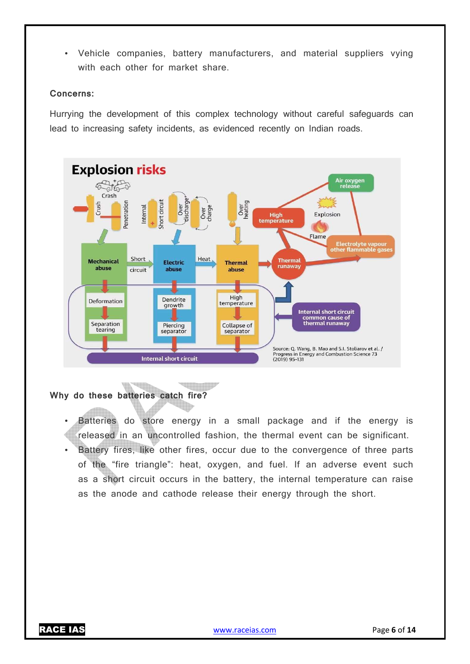• Vehicle companies, battery manufacturers, and material suppliers vying with each other for market share.

#### **Concerns:**

Hurrying the development of this complex technology without careful safeguards can lead to increasing safety incidents, as evidenced recently on Indian roads.



#### **Time TENDER Why do these batteries catch fire?**

- Batteries do store energy in a small package and if the energy is released in an uncontrolled fashion, the thermal event can be significant.
- Battery fires, like other fires, occur due to the convergence of three parts of the "fire triangle": heat, oxygen, and fuel. If an adverse event such as a short circuit occurs in the battery, the internal temperature can raise as the anode and cathode release their energy through the short.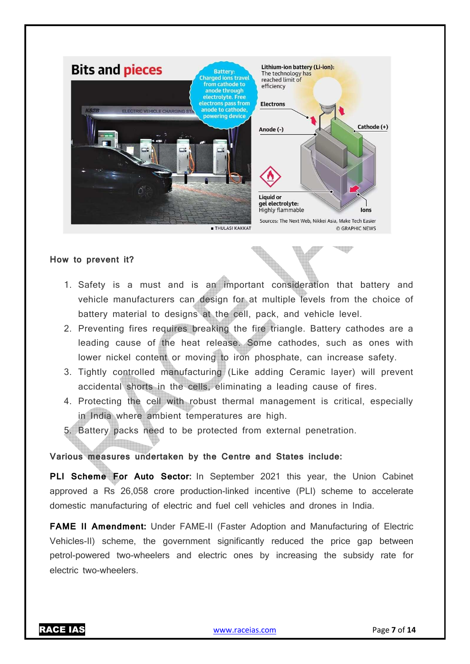

#### **How to prevent it?**

1. Safety is a must and is an important consideration that battery and vehicle manufacturers can design for at multiple levels from the choice of battery material to designs at the cell, pack, and vehicle level.

ara d

- 2. Preventing fires requires breaking the fire triangle. Battery cathodes are a leading cause of the heat release. Some cathodes, such as ones with lower nickel content or moving to iron phosphate, can increase safety.
- 3. Tightly controlled manufacturing (Like adding Ceramic layer) will prevent accidental shorts in the cells, eliminating a leading cause of fires.
- 4. Protecting the cell with robust thermal management is critical, especially in India where ambient temperatures are high.
- 5. Battery packs need to be protected from external penetration.

#### **Various measures undertaken by the Centre and States include:**

**PLI Scheme For Auto Sector:** In September 2021 this year, the Union Cabinet approved a Rs 26,058 crore production-linked incentive (PLI) scheme to accelerate domestic manufacturing of electric and fuel cell vehicles and drones in India.

**FAME II Amendment:** Under FAME-II (Faster Adoption and Manufacturing of Electric Vehicles-II) scheme, the government significantly reduced the price gap between petrol-powered two-wheelers and electric ones by increasing the subsidy rate for electric two-wheelers.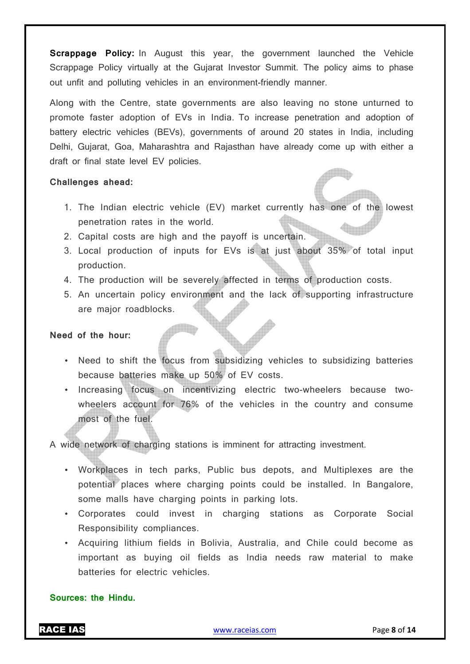**Scrappage Policy:** In August this year, the government launched the Vehicle Scrappage Policy virtually at the Gujarat Investor Summit. The policy aims to phase out unfit and polluting vehicles in an environment-friendly manner.

Along with the Centre, state governments are also leaving no stone unturned to promote faster adoption of EVs in India. To increase penetration and adoption of battery electric vehicles (BEVs), governments of around 20 states in India, including Delhi, Gujarat, Goa, Maharashtra and Rajasthan have already come up with either a draft or final state level EV policies.

#### **Challenges ahead:**

- 1. The Indian electric vehicle (EV) market currently has one of the lowest penetration rates in the world.
- 2. Capital costs are high and the payoff is uncertain.
- 3. Local production of inputs for EVs is at just about 35% of total input production.
- 4. The production will be severely affected in terms of production costs.
- 5. An uncertain policy environment and the lack of supporting infrastructure are major roadblocks.

#### **Need of the hour:**

- Need to shift the focus from subsidizing vehicles to subsidizing batteries because batteries make up 50% of EV costs.
- Increasing focus on incentivizing electric two-wheelers because twowheelers account for 76% of the vehicles in the country and consume most of the fuel.

A wide network of charging stations is imminent for attracting investment.

- Workplaces in tech parks, Public bus depots, and Multiplexes are the potential places where charging points could be installed. In Bangalore, some malls have charging points in parking lots.
- Corporates could invest in charging stations as Corporate Social Responsibility compliances.
- Acquiring lithium fields in Bolivia, Australia, and Chile could become as important as buying oil fields as India needs raw material to make batteries for electric vehicles.

#### **Sources: the Hindu.**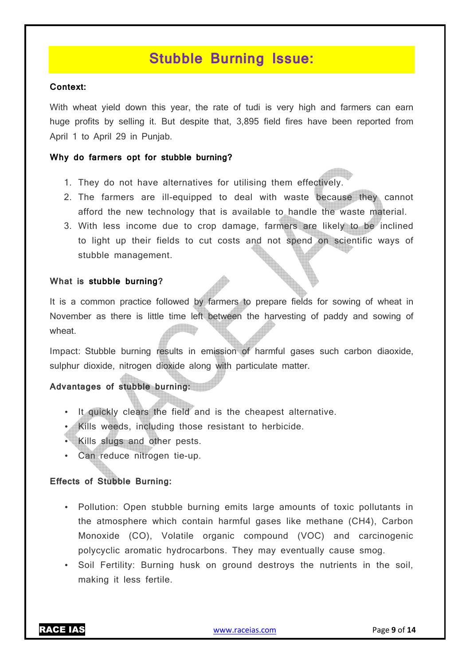### **Stubble Burning Issue:**

#### **Context:**

With wheat yield down this year, the rate of tudi is very high and farmers can earn huge profits by selling it. But despite that, 3,895 field fires have been reported from April 1 to April 29 in Punjab.

#### **Why do farmers opt for stubble burning?**

- 1. They do not have alternatives for utilising them effectively.
- 2. The farmers are ill-equipped to deal with waste because they cannot afford the new technology that is available to handle the waste material.
- 3. With less income due to crop damage, farmers are likely to be inclined to light up their fields to cut costs and not spend on scientific ways of stubble management.

#### **What is stubble burning?**

It is a common practice followed by farmers to prepare fields for sowing of wheat in November as there is little time left between the harvesting of paddy and sowing of wheat.

Impact: Stubble burning results in emission of harmful gases such carbon diaoxide, sulphur dioxide, nitrogen dioxide along with particulate matter.

### **Advantages of stubble burning:**

- It quickly clears the field and is the cheapest alternative.
- Kills weeds, including those resistant to herbicide.
- Kills slugs and other pests.
- Can reduce nitrogen tie-up.

#### **Effects of Stubble Burning:**

- Pollution: Open stubble burning emits large amounts of toxic pollutants in the atmosphere which contain harmful gases like methane (CH4), Carbon Monoxide (CO), Volatile organic compound (VOC) and carcinogenic polycyclic aromatic hydrocarbons. They may eventually cause smog.
- Soil Fertility: Burning husk on ground destroys the nutrients in the soil, making it less fertile.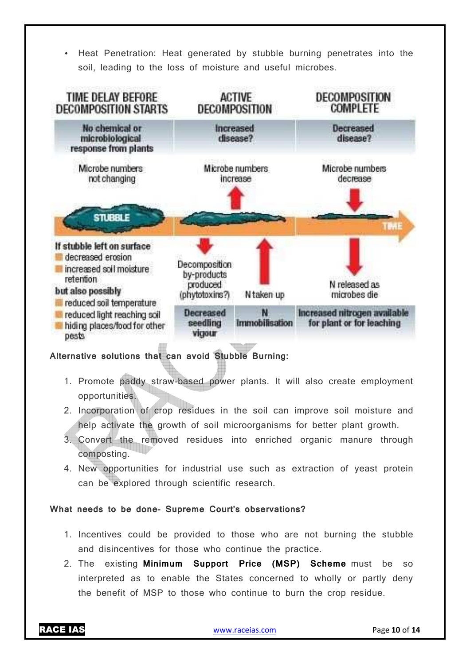• Heat Penetration: Heat generated by stubble burning penetrates into the soil, leading to the loss of moisture and useful microbes.



**Alternative solutions that can avoid Stubble Burning:** 

- 1. Promote paddy straw-based power plants. It will also create employment opportunities.
- 2. Incorporation of crop residues in the soil can improve soil moisture and help activate the growth of soil microorganisms for better plant growth.
- 3. Convert the removed residues into enriched organic manure through composting.
- 4. New opportunities for industrial use such as extraction of yeast protein can be explored through scientific research.

### **What needs to be done- Supreme Court's observations?**

- 1. Incentives could be provided to those who are not burning the stubble and disincentives for those who continue the practice.
- 2. The existing **Minimum Support Price (MSP) Scheme** must be so interpreted as to enable the States concerned to wholly or partly deny the benefit of MSP to those who continue to burn the crop residue.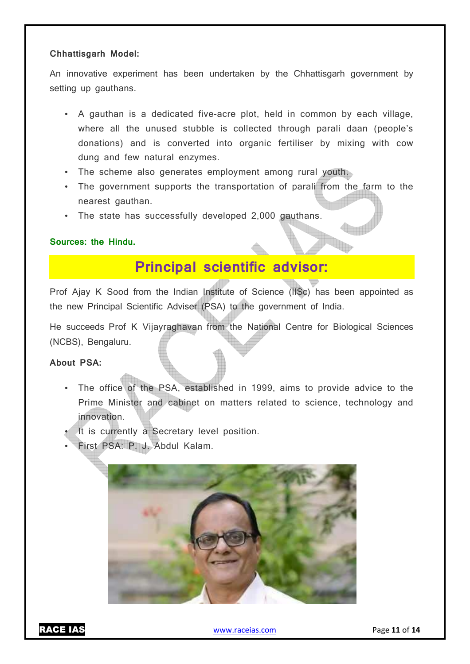#### **Chhattisgarh Model:**

An innovative experiment has been undertaken by the Chhattisgarh government by setting up gauthans.

- A gauthan is a dedicated five-acre plot, held in common by each village, where all the unused stubble is collected through parali daan (people's donations) and is converted into organic fertiliser by mixing with cow dung and few natural enzymes.
- The scheme also generates employment among rural youth.
- The government supports the transportation of parali from the farm to the nearest gauthan.
- The state has successfully developed 2,000 gauthans.

#### **Sources: the Hindu.**

### **Principal scientific advisor:**

Prof Ajay K Sood from the Indian Institute of Science (IISc) has been appointed as the new Principal Scientific Adviser (PSA) to the government of India.

He succeeds Prof K Vijayraghavan from the National Centre for Biological Sciences (NCBS), Bengaluru.

### **About PSA:**

- The office of the PSA, established in 1999, aims to provide advice to the Prime Minister and cabinet on matters related to science, technology and innovation.
- It is currently a Secretary level position.
- First PSA: P. J. Abdul Kalam.

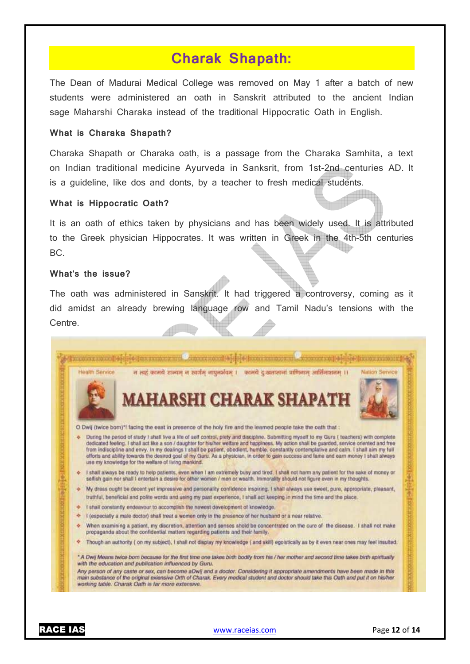### **Charak Shapath:**

The Dean of Madurai Medical College was removed on May 1 after a batch of new students were administered an oath in Sanskrit attributed to the ancient Indian sage Maharshi Charaka instead of the traditional Hippocratic Oath in English.

#### **What is Charaka Shapath?**

Charaka Shapath or Charaka oath, is a passage from the Charaka Samhita, a text on Indian traditional medicine Ayurveda in Sanksrit, from 1st-2nd centuries AD. It is a guideline, like dos and donts, by a teacher to fresh medical students.

#### **What is Hippocratic Oath?**

It is an oath of ethics taken by physicians and has been widely used. It is attributed to the Greek physician Hippocrates. It was written in Greek in the 4th-5th centuries BC.

#### **What's the issue?**

The oath was administered in Sanskrit. It had triggered a controversy, coming as it did amidst an already brewing language row and Tamil Nadu's tensions with the Centre. 

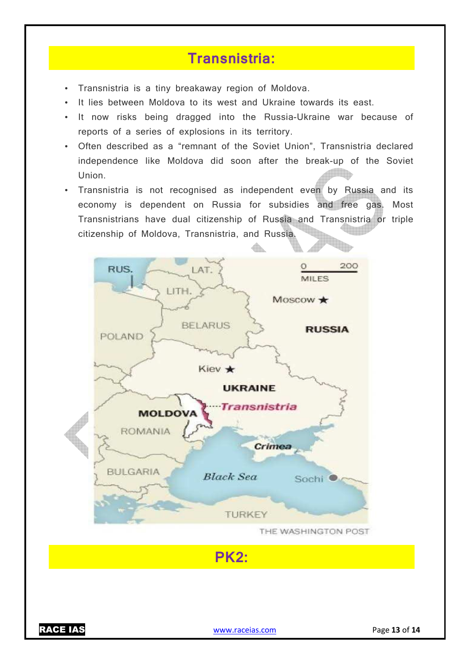### **Transnistria:**

- Transnistria is a tiny breakaway region of Moldova.
- It lies between Moldova to its west and Ukraine towards its east.
- It now risks being dragged into the Russia-Ukraine war because of reports of a series of explosions in its territory.
- Often described as a "remnant of the Soviet Union", Transnistria declared independence like Moldova did soon after the break-up of the Soviet Union.
- Transnistria is not recognised as independent even by Russia and its economy is dependent on Russia for subsidies and free gas. Most Transnistrians have dual citizenship of Russia and Transnistria or triple citizenship of Moldova, Transnistria, and Russia.